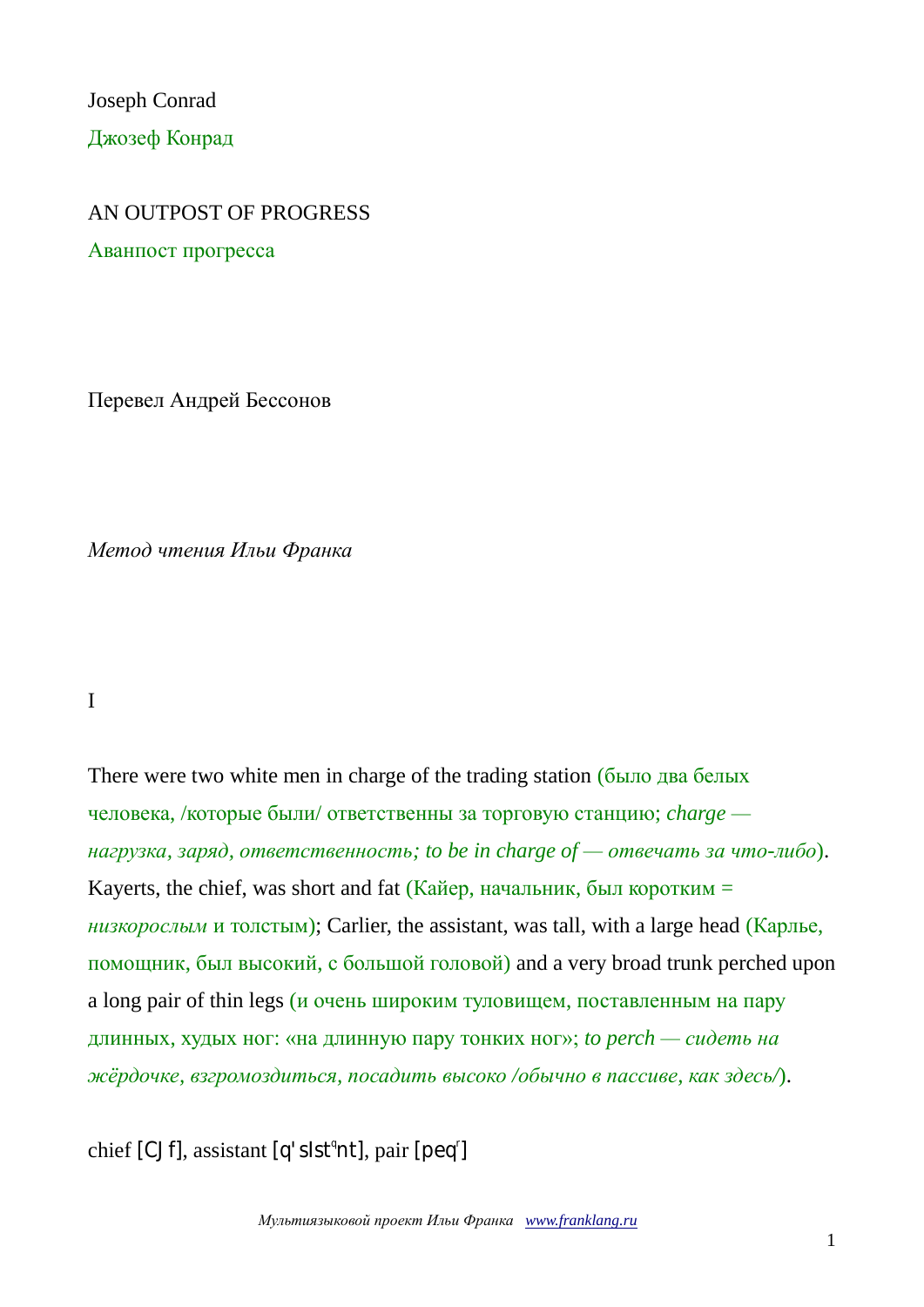Joseph Conrad Джозеф Конрад

#### AN OUTPOST OF PROGRESS

Аванпост прогресса

Перевел Андрей Бессонов

*Метод чтения Ильи Франка*

I

There were two white men in charge of the trading station (было два белых человека, /которые были/ ответственны за торговую станцию; *charge нагрузка, заряд, ответственность; to be in charge of — отвечать за что-либо*). Kayerts, the chief, was short and fat (Кайер, начальник, был коротким = *низкорослым* и толстым); Carlier, the assistant, was tall, with a large head (Карлье, помощник, был высокий, с большой головой) and a very broad trunk perched upon a long pair of thin legs (и очень широким туловищем, поставленным на пару длинных, худых ног: «на длинную пару тонких ног»; *to perch — сидеть на жёрдочке, взгромоздиться, посадить высоко /обычно в пассиве, как здесь/*).

chief [CJf], assistant [q'sIst<sup>a</sup>nt], pair [peq<sup>r</sup>]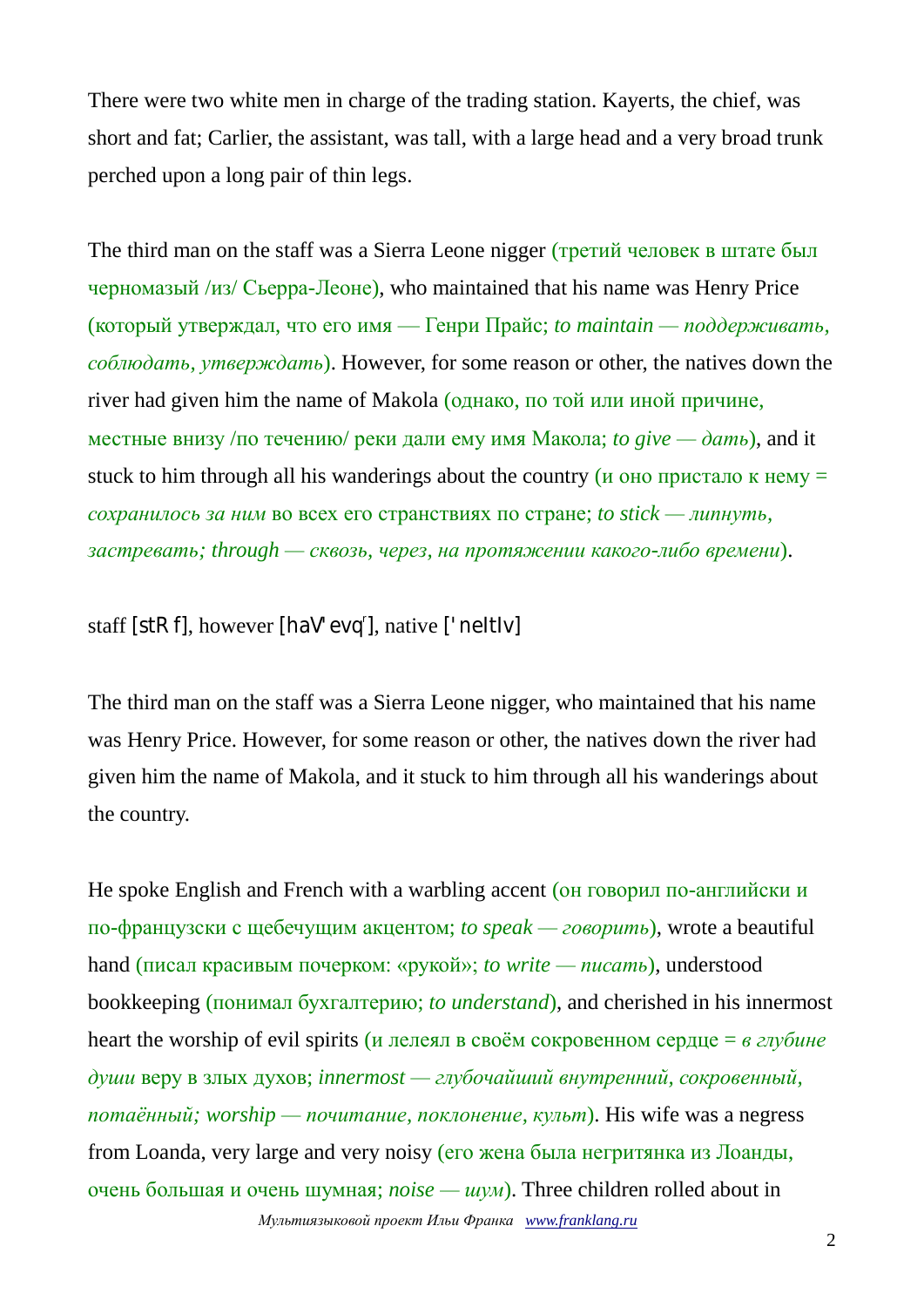There were two white men in charge of the trading station. Kayerts, the chief, was short and fat; Carlier, the assistant, was tall, with a large head and a very broad trunk perched upon a long pair of thin legs.

The third man on the staff was a Sierra Leone nigger (третий человек в штате был черномазый /из/ Сьерра-Леоне), who maintained that his name was Henry Price (который утверждал, что его имя — Генри Прайс; *to maintain — поддерживать, соблюдать, утверждать*). However, for some reason or other, the natives down the river had given him the name of Makola (однако, по той или иной причине, местные внизу /по течению/ реки дали ему имя Макола; *to give —*  $\phi$ *amb*), and it stuck to him through all his wanderings about the country ( $\mu$  one пристало к нему = *сохранилось за ним* во всех его странствиях по стране; *to stick — липнуть, застревать; through — сквозь, через, на протяжении какого-либо времени*).

staff [stRf], however [haV'evq'], native ['neItIv]

The third man on the staff was a Sierra Leone nigger, who maintained that his name was Henry Price. However, for some reason or other, the natives down the river had given him the name of Makola, and it stuck to him through all his wanderings about the country.

*Мультиязыковой проект Ильи Франка [www.franklang.ru](http://www.franklang.ru/)* He spoke English and French with a warbling accent (он говорил по-английски и по-французски с щебечущим акцентом; *to speak — говорить*), wrote a beautiful hand (писал красивым почерком: «рукой»; *to write — писать*), understood bookkeeping (понимал бухгалтерию; *to understand*), and cherished in his innermost heart the worship of evil spirits (и лелеял в своём сокровенном сердце = *в глубине души* веру в злых духов; *innermost — глубочайший внутренний, сокровенный, потаённый; worship — почитание, поклонение, культ*). His wife was a negress from Loanda, very large and very noisy (его жена была негритянка из Лоанды, очень большая и очень шумная; *noise — шум*). Three children rolled about in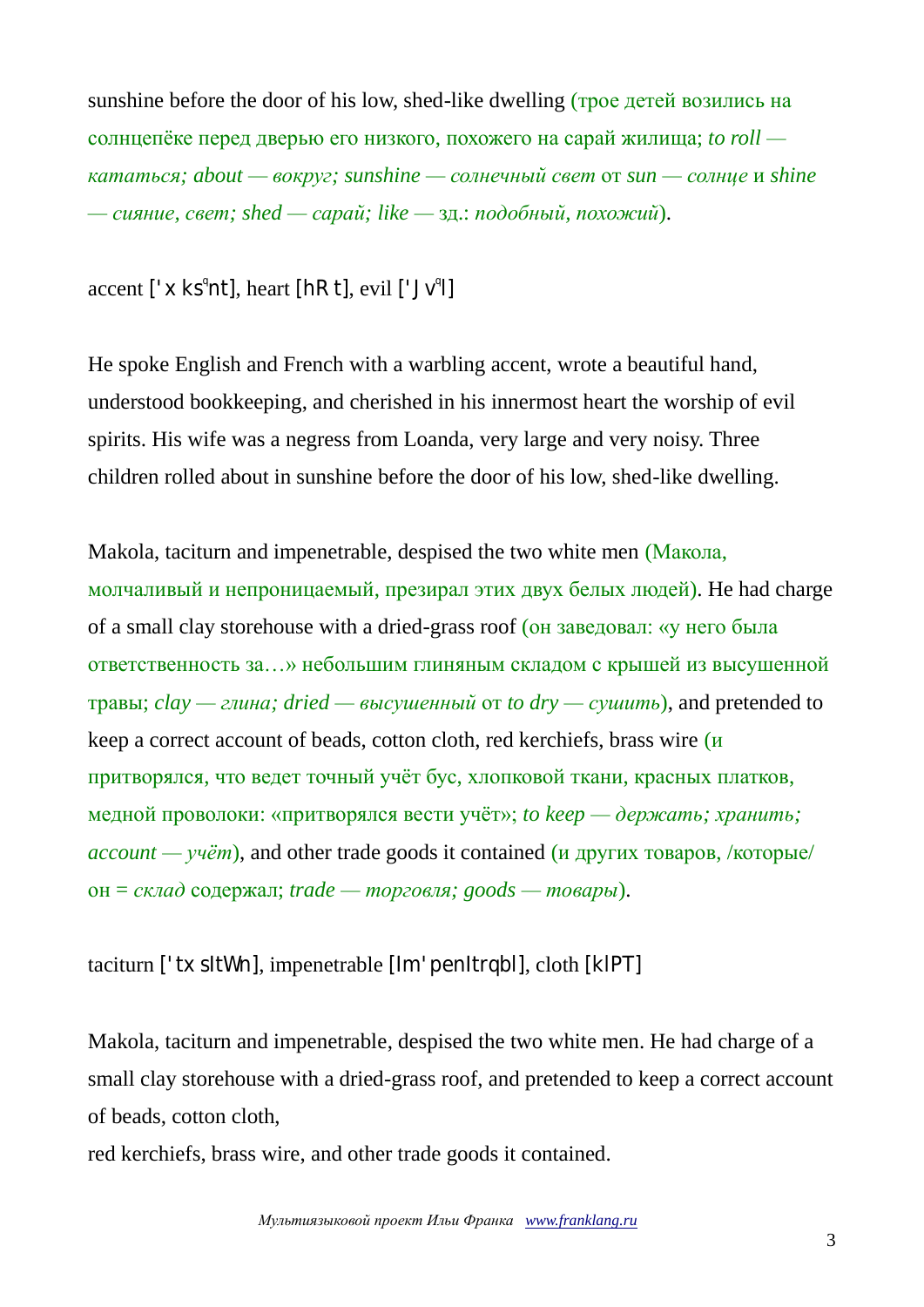sunshine before the door of his low, shed-like dwelling (трое детей возились на солнцепёке перед дверью его низкого, похожего на сарай жилища; *to roll кататься; about — вокруг; sunshine — солнечный свет* от *sun — солнце* и *shine — сияние, свет; shed — сарай; like —* зд.: *подобный, похожий*).

# $\text{accept}$  [' $\times$  $\text{ks}^{\text{q}}$ nt],  $\text{heart}$  [hRt],  $\text{eval}$  [' $\text{Jv}^{\text{q}}$ ]]

He spoke English and French with a warbling accent, wrote a beautiful hand, understood bookkeeping, and cherished in his innermost heart the worship of evil spirits. His wife was a negress from Loanda, very large and very noisy. Three children rolled about in sunshine before the door of his low, shed-like dwelling.

Makola, taciturn and impenetrable, despised the two white men (Макола, молчаливый и непроницаемый, презирал этих двух белых людей). He had charge of a small clay storehouse with a dried-grass roof (он заведовал: «у него была ответственность за…» небольшим глиняным складом с крышей из высушенной травы; *clay — глина; dried — высушенный* от *to dry — сушить*), and pretended to keep a correct account of beads, cotton cloth, red kerchiefs, brass wire (и притворялся, что ведет точный учёт бус, хлопковой ткани, красных платков, медной проволоки: «притворялся вести учёт»; *to keep — держать; хранить; account — учёт*), and other trade goods it contained (и других товаров, /которые/ он = *склад* содержал; *trade — торговля; goods — товары*).

# taciturn ['txsItWn], impenetrable [Im'penItrqbl], cloth [klPT]

Makola, taciturn and impenetrable, despised the two white men. He had charge of a small clay storehouse with a dried-grass roof, and pretended to keep a correct account of beads, cotton cloth,

red kerchiefs, brass wire, and other trade goods it contained.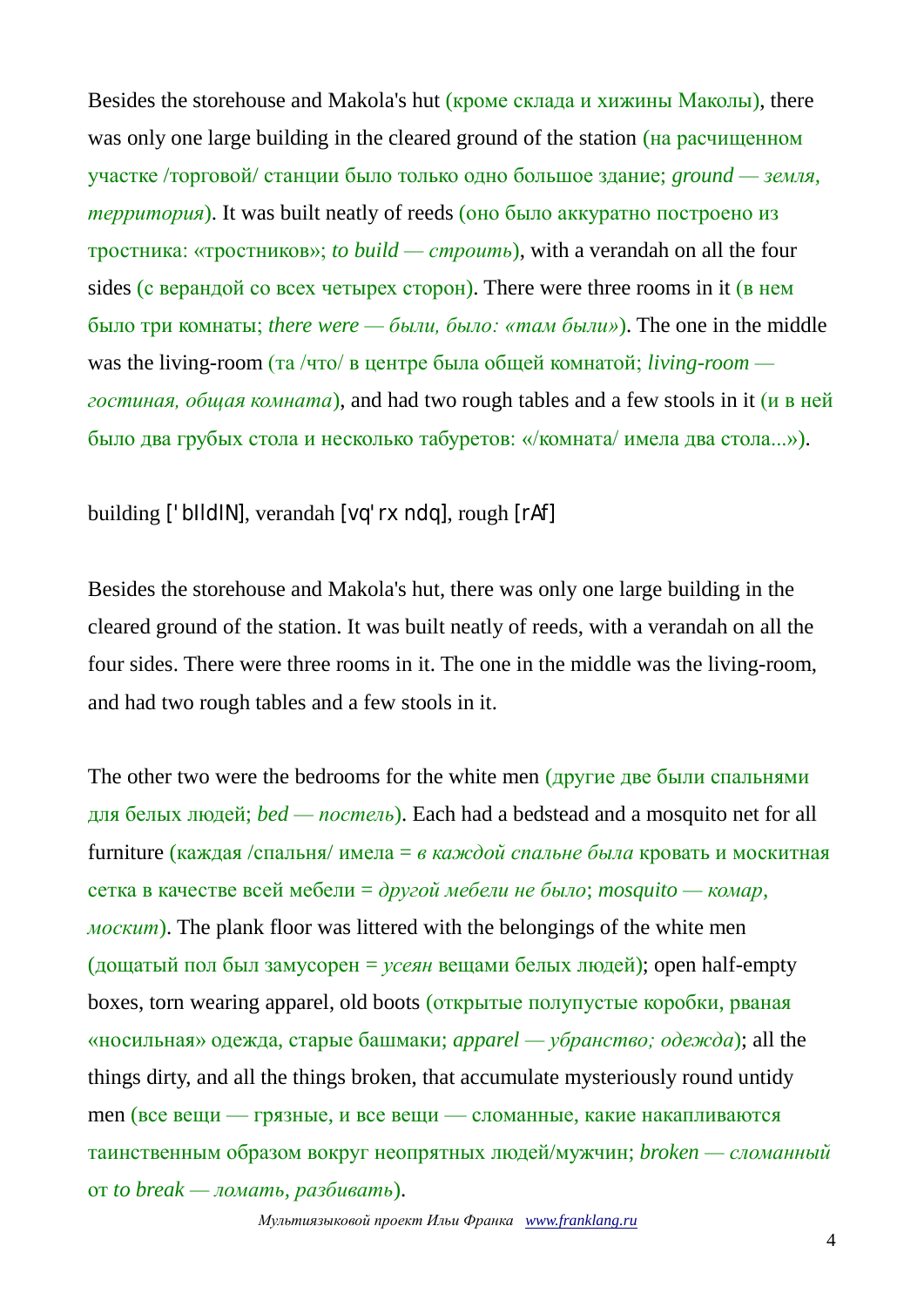Besides the storehouse and Makola's hut (кроме склада и хижины Маколы), there was only one large building in the cleared ground of the station (на расчищенном участке /торговой/ станции было только одно большое здание; *ground — земля, территория*). It was built neatly of reeds (оно было аккуратно построено из тростника: «тростников»; *to build — строить*), with a verandah on all the four sides (с верандой со всех четырех сторон). There were three rooms in it (в нем было три комнаты; *there were — были, было: «там были»*). The one in the middle was the living-room (та /что/ в центре была общей комнатой; *living-room гостиная, общая комната*), and had two rough tables and a few stools in it (и в ней было два грубых стола и несколько табуретов: «/комната/ имела два стола...»).

building ['bIldIN], verandah [vq'rxndq], rough [rAf]

Besides the storehouse and Makola's hut, there was only one large building in the cleared ground of the station. It was built neatly of reeds, with a verandah on all the four sides. There were three rooms in it. The one in the middle was the living-room, and had two rough tables and a few stools in it.

The other two were the bedrooms for the white men (другие две были спальнями для белых людей; *bed — постель*). Each had a bedstead and a mosquito net for all furniture (каждая /спальня/ имела = *в каждой спальне была* кровать и москитная сетка в качестве всей мебели = *другой мебели не было*; *mosquito — комар, москит*). The plank floor was littered with the belongings of the white men (дощатый пол был замусорен = *усеян* вещами белых людей); open half-empty boxes, torn wearing apparel, old boots (открытые полупустые коробки, рваная «носильная» одежда, старые башмаки; *apparel — убранство; одежда*); all the things dirty, and all the things broken, that accumulate mysteriously round untidy men (все вещи — грязные, и все вещи — сломанные, какие накапливаются таинственным образом вокруг неопрятных людей/мужчин; *broken — сломанный* от *to break — ломать, разбивать*).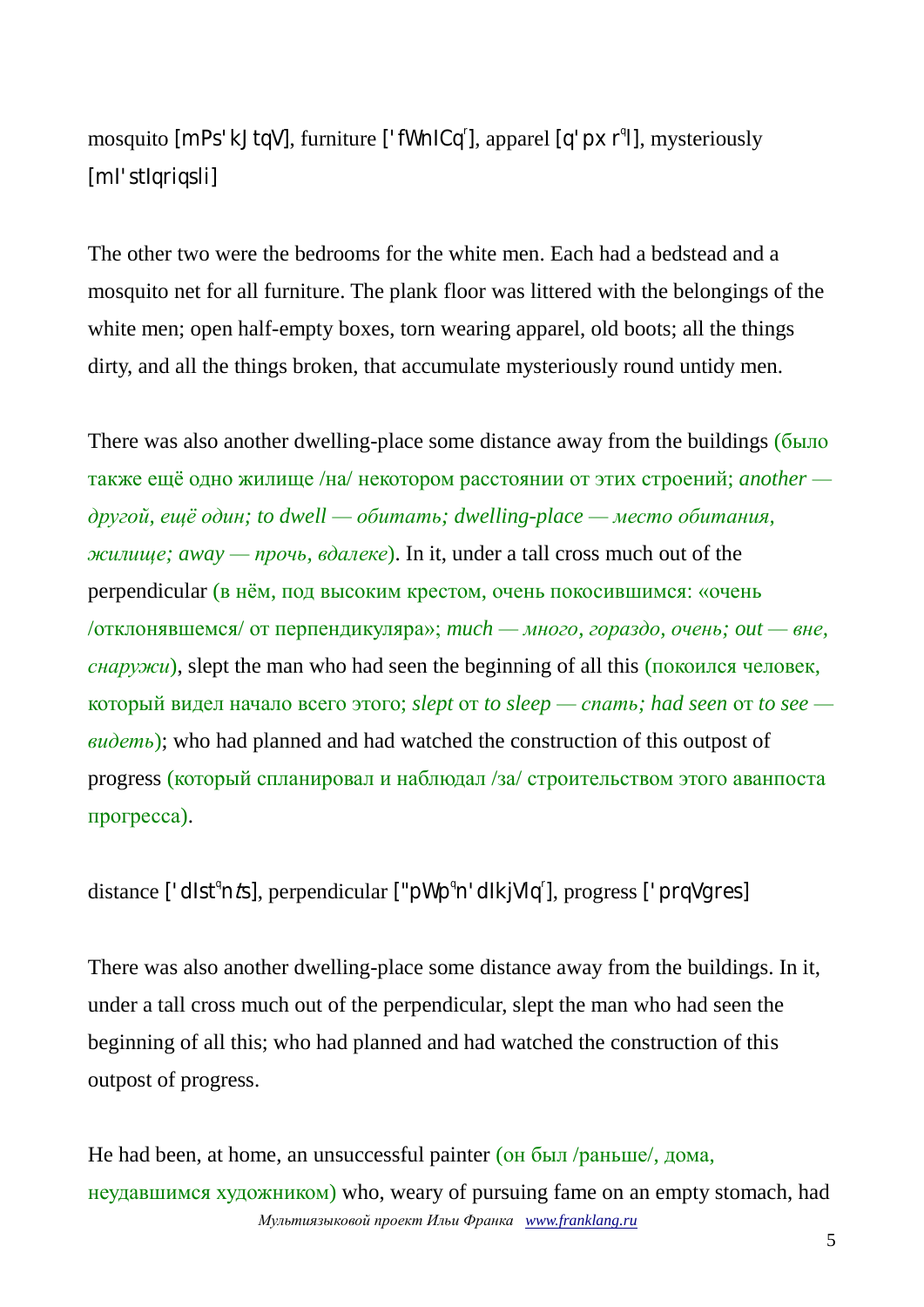mosquito [mPs'kJtqV], furniture ['fWnICq'], apparel [q'pxr<sup>q</sup>l], mysteriously [mI'stIqriqsli]

The other two were the bedrooms for the white men. Each had a bedstead and a mosquito net for all furniture. The plank floor was littered with the belongings of the white men; open half-empty boxes, torn wearing apparel, old boots; all the things dirty, and all the things broken, that accumulate mysteriously round untidy men.

There was also another dwelling-place some distance away from the buildings (было также ещё одно жилище /на/ некотором расстоянии от этих строений; *another другой, ещё один; to dwell — обитать; dwelling-place — место обитания, жилище; away — прочь, вдалеке*). In it, under a tall cross much out of the perpendicular (в нём, под высоким крестом, очень покосившимся: «очень /отклонявшемся/ от перпендикуляра»; *much — много, гораздо, очень; out — вне, снаружи*), slept the man who had seen the beginning of all this (покоился человек, который видел начало всего этого; *slept* от *to sleep — спать; had seen* от *to see видеть*); who had planned and had watched the construction of this outpost of progress (который спланировал и наблюдал /за/ строительством этого аванпоста прогресса).

distance ['dlst<sup>q</sup>n*t*s], perpendicular ["pWp<sup>q</sup>n'dlkjVlq<sup>r</sup>], progress ['prqVgres]

There was also another dwelling-place some distance away from the buildings. In it, under a tall cross much out of the perpendicular, slept the man who had seen the beginning of all this; who had planned and had watched the construction of this outpost of progress.

*Мультиязыковой проект Ильи Франка [www.franklang.ru](http://www.franklang.ru/)* He had been, at home, an unsuccessful painter (он был /раньше/, дома, неудавшимся художником) who, weary of pursuing fame on an empty stomach, had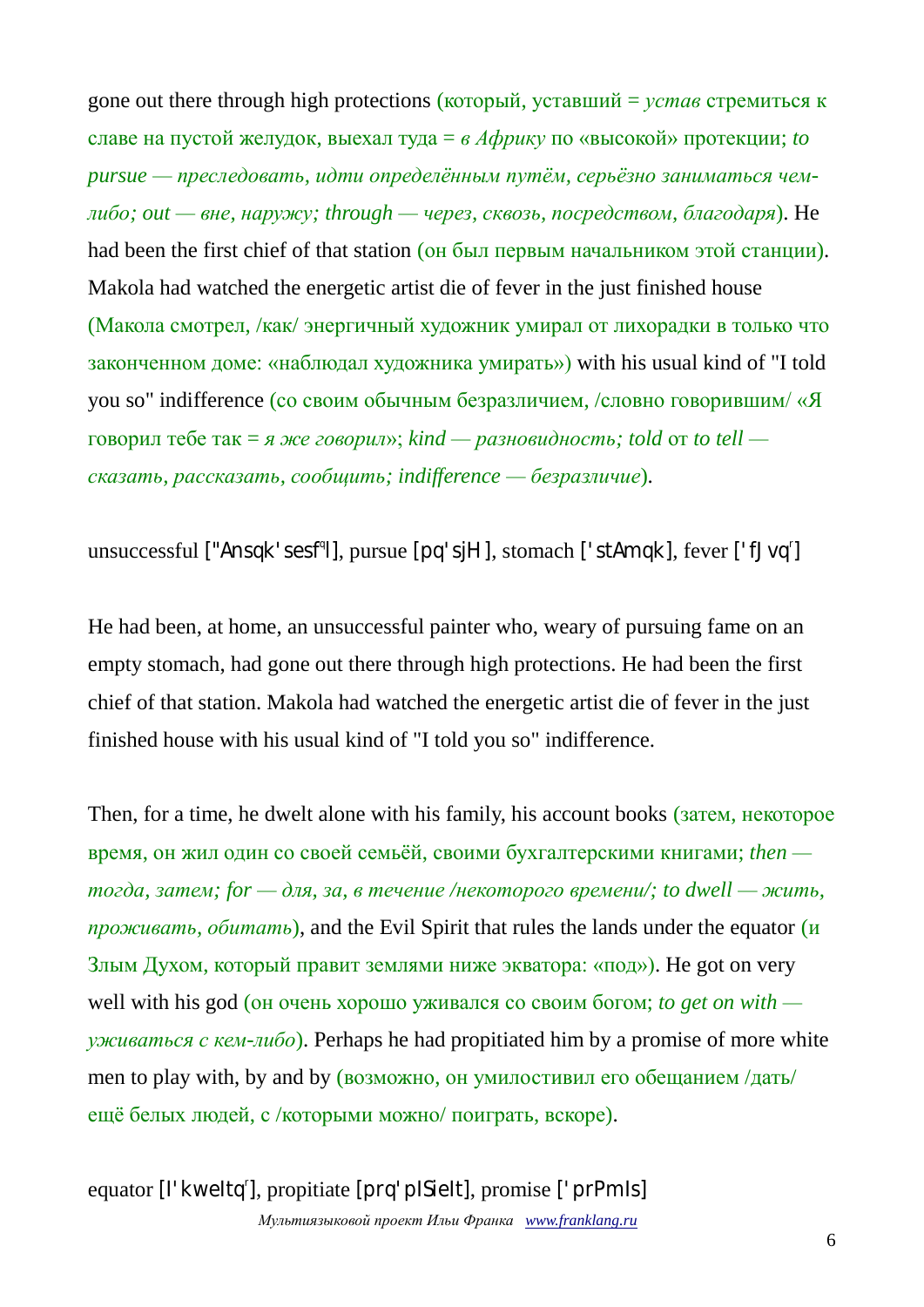gone out there through high protections (который, уставший = *устав* стремиться к славе на пустой желудок, выехал туда = *в Африку* по «высокой» протекции; *to pursue — преследовать, идти определённым путём, серьёзно заниматься чемлибо; out — вне, наружу; through — через, сквозь, посредством, благодаря*). He had been the first chief of that station (он был первым начальником этой станции). Makola had watched the energetic artist die of fever in the just finished house (Макола смотрел, /как/ энергичный художник умирал от лихорадки в только что законченном доме: «наблюдал художника умирать») with his usual kind of "I told you so" indifference (со своим обычным безразличием, /словно говорившим/ «Я говорил тебе так = *я же говорил*»; *kind — разновидность; told* от *to tell сказать, рассказать, сообщить; indifference — безразличие*).

unsuccessful ["Ansqk'sesf<sup>q</sup>l], pursue [pq'sjH], stomach ['stAmqk], fever ['fJvq<sup>r</sup>]

He had been, at home, an unsuccessful painter who, weary of pursuing fame on an empty stomach, had gone out there through high protections. He had been the first chief of that station. Makola had watched the energetic artist die of fever in the just finished house with his usual kind of "I told you so" indifference.

Then, for a time, he dwelt alone with his family, his account books (затем, некоторое время, он жил один со своей семьёй, своими бухгалтерскими книгами; *then тогда, затем; for — для, за, в течение /некоторого времени/; to dwell — жить, проживать, обитать*), and the Evil Spirit that rules the lands under the equator (и Злым Духом, который правит землями ниже экватора: «под»). He got on very well with his god (он очень хорошо уживался со своим богом; *to get on with уживаться с кем-либо*). Perhaps he had propitiated him by a promise of more white men to play with, by and by (возможно, он умилостивил его обещанием /дать/ ещё белых людей, с /которыми можно/ поиграть, вскоре).

*Мультиязыковой проект Ильи Франка [www.franklang.ru](http://www.franklang.ru/)* equator [l'kweltq<sup>r</sup>], propitiate [prq'plSielt], promise ['prPmIs]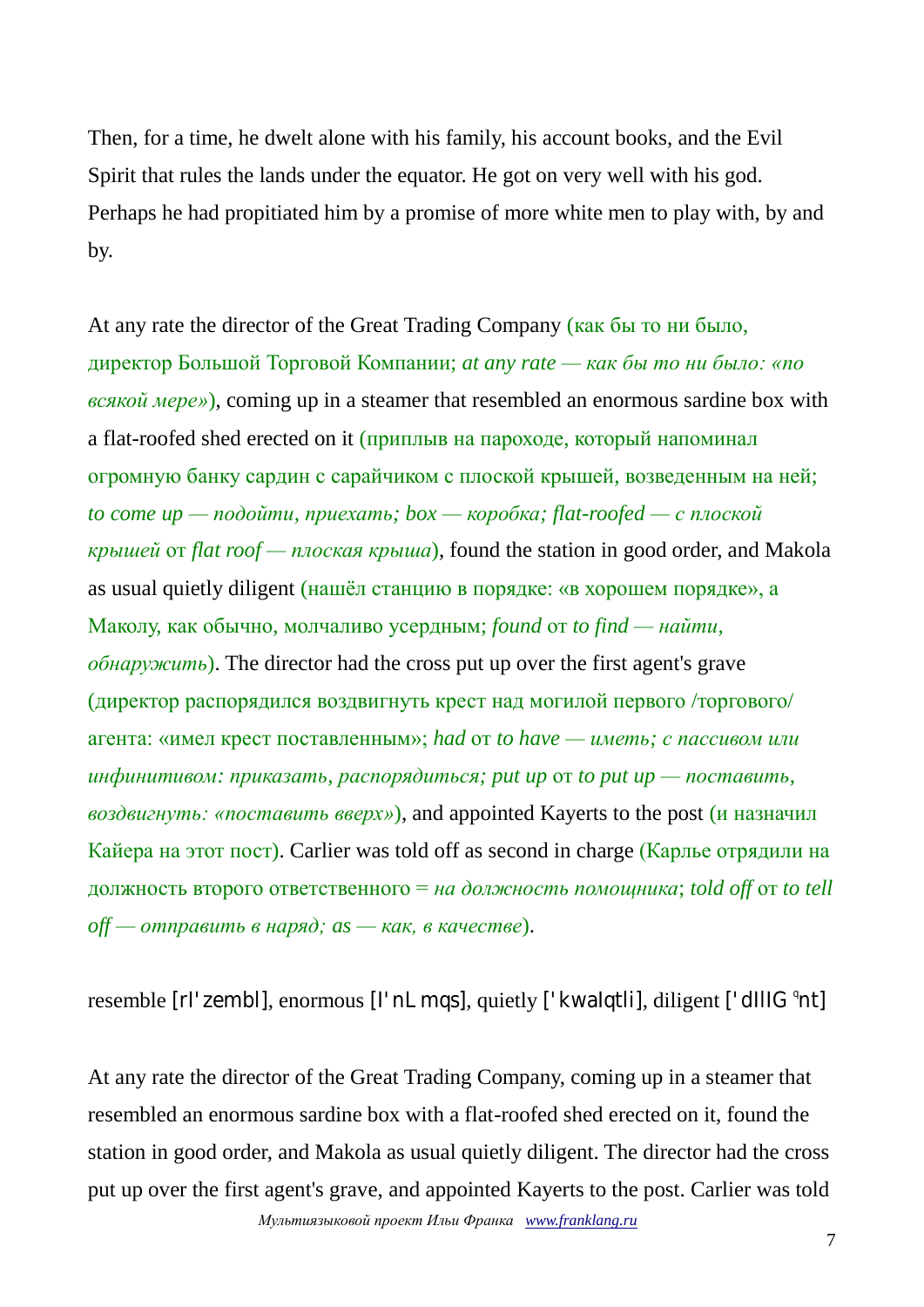Then, for a time, he dwelt alone with his family, his account books, and the Evil Spirit that rules the lands under the equator. He got on very well with his god. Perhaps he had propitiated him by a promise of more white men to play with, by and by.

At any rate the director of the Great Trading Company (как бы то ни было, директор Большой Торговой Компании; *at any rate — как бы то ни было: «по всякой мере»*), coming up in a steamer that resembled an enormous sardine box with a flat-roofed shed erected on it (приплыв на пароходе, который напоминал огромную банку сардин с сарайчиком с плоской крышей, возведенным на ней; *to come up — подойти, приехать; box — коробка; flat-roofed — с плоской крышей* от *flat roof — плоская крыша*), found the station in good order, and Makola as usual quietly diligent (нашёл станцию в порядке: «в хорошем порядке», а Маколу, как обычно, молчаливо усердным; *found* от *to find — найти, обнаружить*). The director had the cross put up over the first agent's grave (директор распорядился воздвигнуть крест над могилой первого /торгового/ агента: «имел крест поставленным»; *had* от *to have — иметь; с пассивом или инфинитивом: приказать, распорядиться; put up* от *to put up — поставить, воздвигнуть: «поставить вверх»*), and appointed Kayerts to the post (и назначил Кайера на этот пост). Carlier was told off as second in charge (Карлье отрядили на должность второго ответственного = *на должность помощника*; *told off* от *to tell off — отправить в наряд; as — как, в качестве*).

resemble [rl'zembl], enormous [l'nLmqs], quietly ['kwalqtli], diligent ['dlllG°nt]

At any rate the director of the Great Trading Company, coming up in a steamer that resembled an enormous sardine box with a flat-roofed shed erected on it, found the station in good order, and Makola as usual quietly diligent. The director had the cross put up over the first agent's grave, and appointed Kayerts to the post. Carlier was told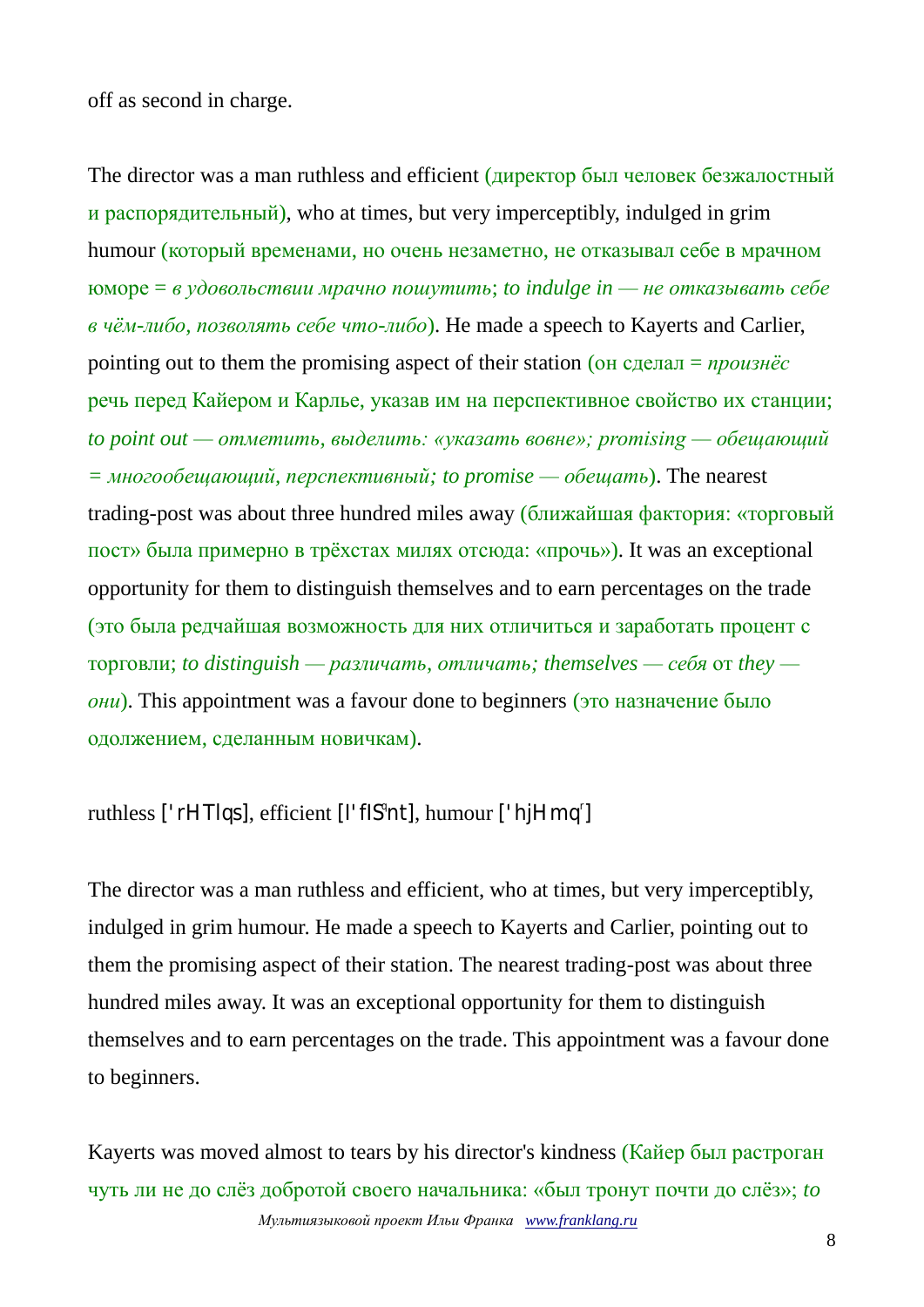off as second in charge.

The director was a man ruthless and efficient (директор был человек безжалостный и распорядительный), who at times, but very imperceptibly, indulged in grim humour (который временами, но очень незаметно, не отказывал себе в мрачном юморе = *в удовольствии мрачно пошутить*; *to indulge in — не отказывать себе в чём-либо, позволять себе что-либо*). He made a speech to Kayerts and Carlier, pointing out to them the promising aspect of their station (он сделал = *произнёс* речь перед Кайером и Карлье, указав им на перспективное свойство их станции; *to point out — отметить, выделить: «указать вовне»; promising — обещающий = многообещающий, перспективный; to promise — обещать*). The nearest trading-post was about three hundred miles away (ближайшая фактория: «торговый пост» была примерно в трёхстах милях отсюда: «прочь»). It was an exceptional opportunity for them to distinguish themselves and to earn percentages on the trade (это была редчайшая возможность для них отличиться и заработать процент с торговли; *to distinguish — различать, отличать; themselves — себя* от *they они*). This appointment was a favour done to beginners (это назначение было одолжением, сделанным новичкам).

### ruthless ['rHTlqs], efficient [l'flS<sup>q</sup>nt], humour ['hjHmq<sup>r</sup>]

The director was a man ruthless and efficient, who at times, but very imperceptibly, indulged in grim humour. He made a speech to Kayerts and Carlier, pointing out to them the promising aspect of their station. The nearest trading-post was about three hundred miles away. It was an exceptional opportunity for them to distinguish themselves and to earn percentages on the trade. This appointment was a favour done to beginners.

*Мультиязыковой проект Ильи Франка [www.franklang.ru](http://www.franklang.ru/)* Kayerts was moved almost to tears by his director's kindness (Кайер был растроган чуть ли не до слёз добротой своего начальника: «был тронут почти до слёз»; *to*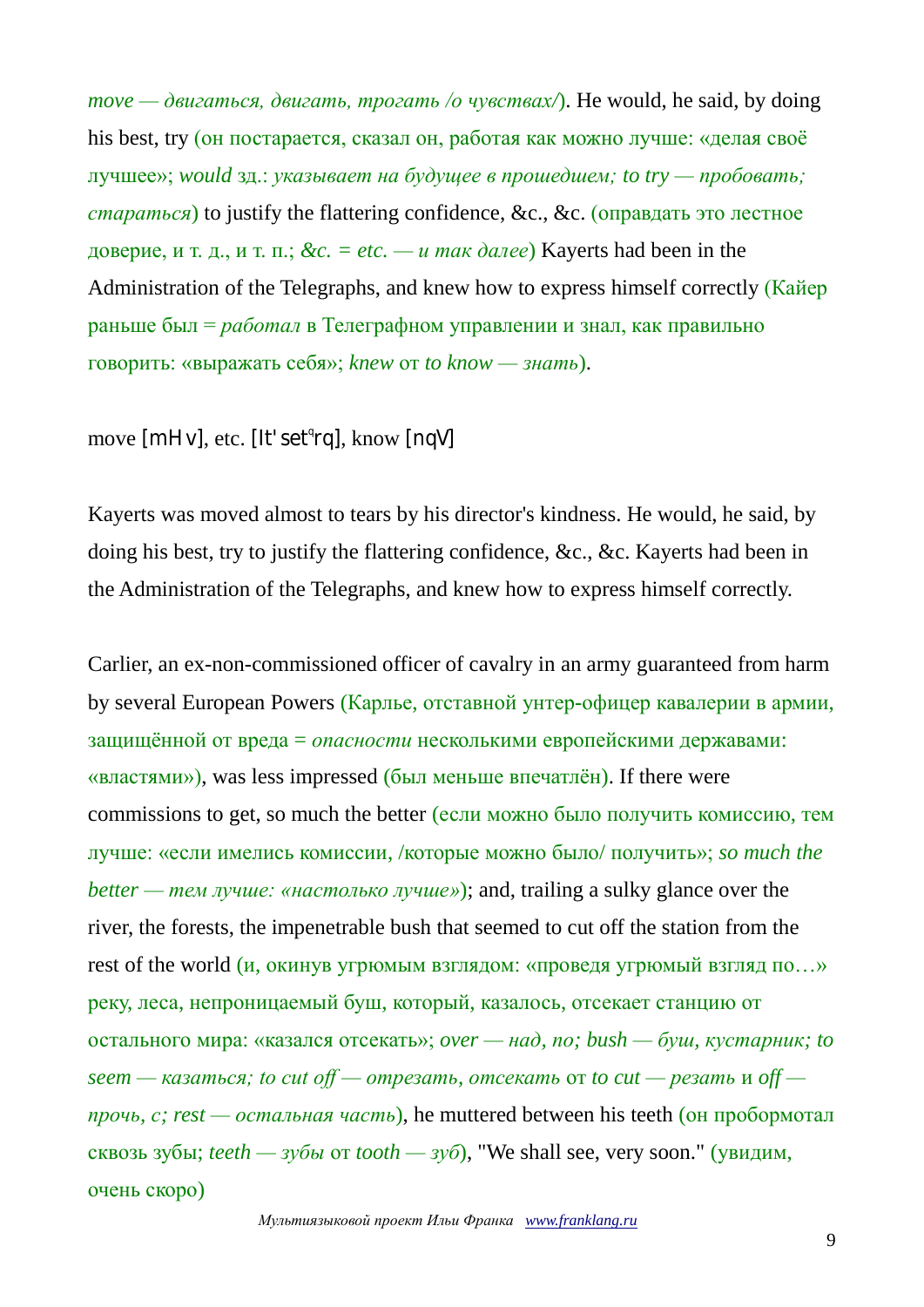*move — двигаться, двигать, трогать /о чувствах/*). He would, he said, by doing his best, try (он постарается, сказал он, работая как можно лучше: «делая своё лучшее»; *would* зд.: *указывает на будущее в прошедшем; to try — пробовать; стараться*) to justify the flattering confidence, &c., &c. (оправдать это лестное доверие, и т. д., и т. п.; *&c. = etc. — и так далее*) Kayerts had been in the Administration of the Telegraphs, and knew how to express himself correctly (Кайер раньше был = *работал* в Телеграфном управлении и знал, как правильно говорить: «выражать себя»; *knew* от *to know — знать*).

move [mHv], etc. [It'set<sup>q</sup>rq], know [nqV]

Kayerts was moved almost to tears by his director's kindness. He would, he said, by doing his best, try to justify the flattering confidence, &c., &c. Kayerts had been in the Administration of the Telegraphs, and knew how to express himself correctly.

Carlier, an ex-non-commissioned officer of cavalry in an army guaranteed from harm by several European Powers (Карлье, отставной унтер-офицер кавалерии в армии, защищённой от вреда = *опасности* несколькими европейскими державами: «властями»), was less impressed (был меньше впечатлён). If there were commissions to get, so much the better (если можно было получить комиссию, тем лучше: «если имелись комиссии, /которые можно было/ получить»; *so much the better — тем лучше: «настолько лучше»*); and, trailing a sulky glance over the river, the forests, the impenetrable bush that seemed to cut off the station from the rest of the world (и, окинув угрюмым взглядом: «проведя угрюмый взгляд по…» реку, леса, непроницаемый буш, который, казалось, отсекает станцию от остального мира: «казался отсекать»; *over — над, по; bush — буш, кустарник; to seem — казаться; to cut off — отрезать, отсекать* от *to cut — резать* и *off прочь, с; rest — остальная часть*), he muttered between his teeth (он пробормотал сквозь зубы; *teeth — зубы* от *tooth — зуб*), "We shall see, very soon." (увидим, очень скоро)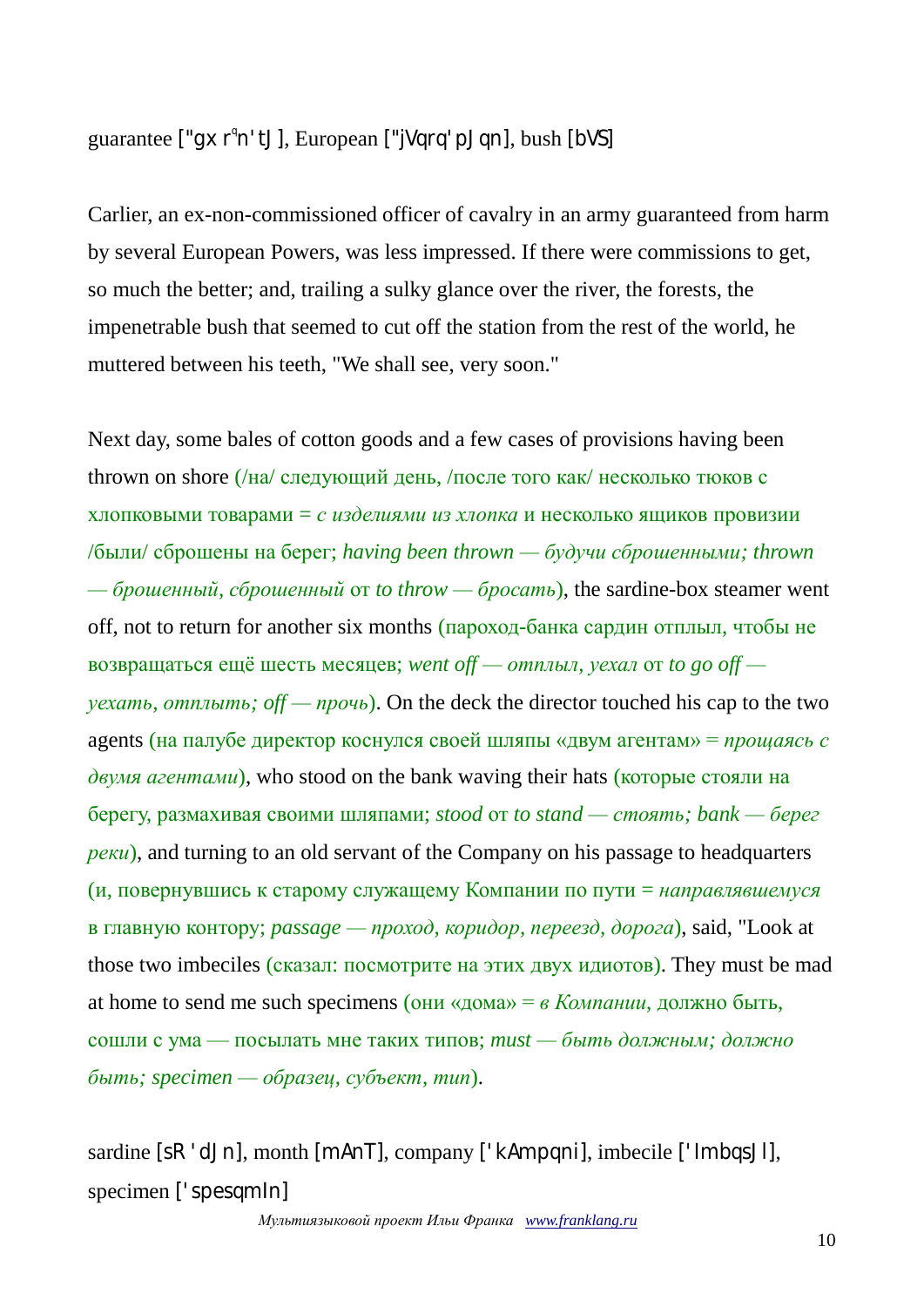# guarantee ["gxr<sup>q</sup>n'tJ], European ["jVqrq'pJqn], bush [bVS]

Carlier, an ex-non-commissioned officer of cavalry in an army guaranteed from harm by several European Powers, was less impressed. If there were commissions to get, so much the better; and, trailing a sulky glance over the river, the forests, the impenetrable bush that seemed to cut off the station from the rest of the world, he muttered between his teeth, "We shall see, very soon."

Next day, some bales of cotton goods and a few cases of provisions having been thrown on shore (/на/ следующий день, /после того как/ несколько тюков с хлопковыми товарами = *с изделиями из хлопка* и несколько ящиков провизии /были/ сброшены на берег; *having been thrown — будучи сброшенными; thrown — брошенный, сброшенный* от *to throw — бросать*), the sardine-box steamer went off, not to return for another six months (пароход-банка сардин отплыл, чтобы не возвращаться ещё шесть месяцев; *went off — отплыл, уехал* от *to go off уехать, отплыть; off — прочь*). On the deck the director touched his cap to the two agents (на палубе директор коснулся своей шляпы «двум агентам» = *прощаясь с двумя агентами*), who stood on the bank waving their hats (которые стояли на берегу, размахивая своими шляпами; *stood* от *to stand — стоять; bank — берег реки*), and turning to an old servant of the Company on his passage to headquarters (и, повернувшись к старому служащему Компании по пути = *направлявшемуся* в главную контору; *passage — проход, коридор, переезд, дорога*), said, "Look at those two imbeciles (сказал: посмотрите на этих двух идиотов). They must be mad at home to send me such specimens (они «дома» = *в Компании*, должно быть, сошли с ума — посылать мне таких типов; *must — быть должным; должно быть; specimen — образец, субъект, тип*).

sardine [sR'dJn], month [mAnT], company ['kAmpqni], imbecile ['ImbqsJl], specimen ['spesqmIn]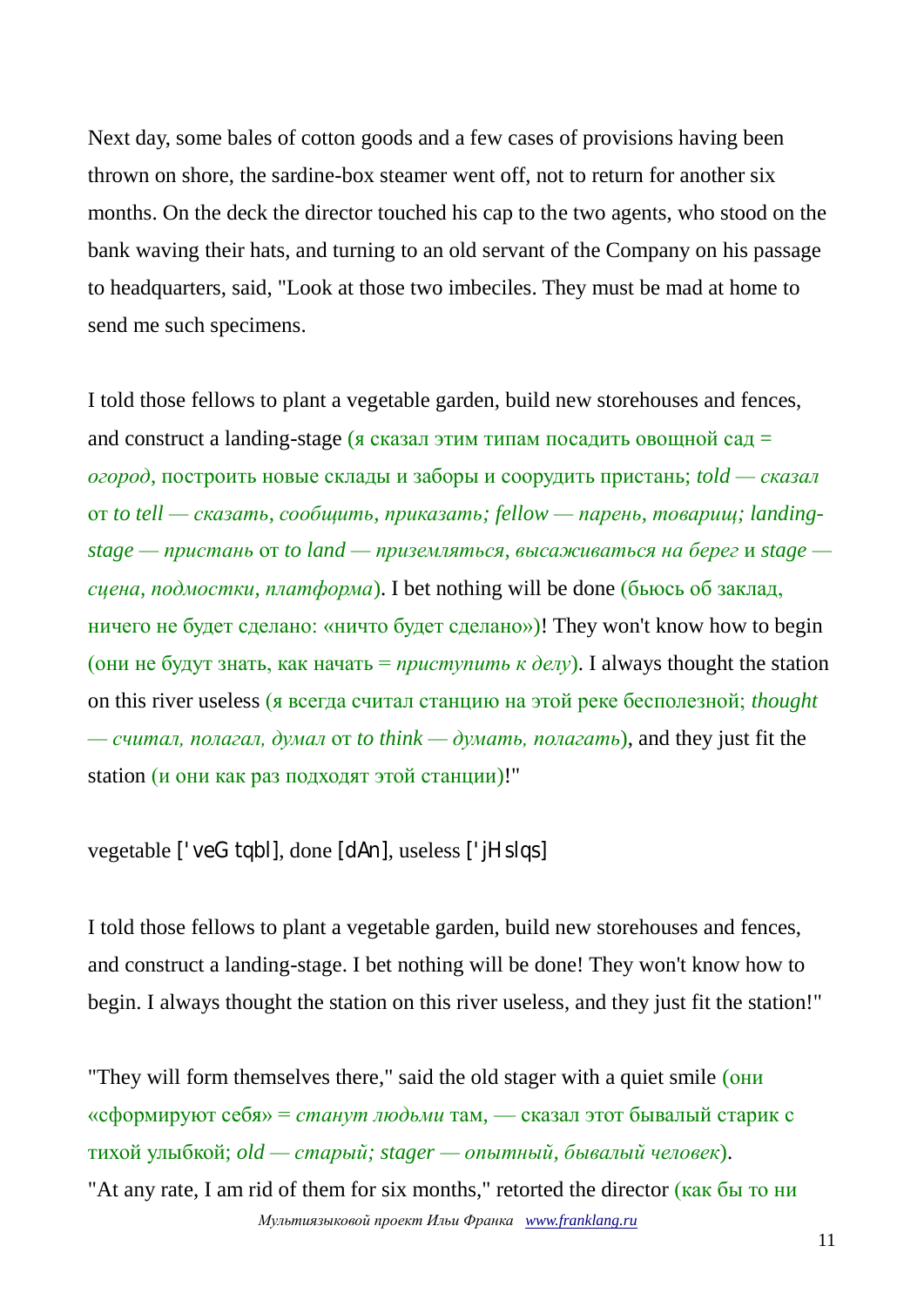Next day, some bales of cotton goods and a few cases of provisions having been thrown on shore, the sardine-box steamer went off, not to return for another six months. On the deck the director touched his cap to the two agents, who stood on the bank waving their hats, and turning to an old servant of the Company on his passage to headquarters, said, "Look at those two imbeciles. They must be mad at home to send me such specimens.

I told those fellows to plant a vegetable garden, build new storehouses and fences, and construct a landing-stage (я сказал этим типам посадить овощной сад = *огород*, построить новые склады и заборы и соорудить пристань; *told — сказал* от *to tell — сказать, сообщить, приказать; fellow — парень, товарищ; landingstage — пристань* от *to land — приземляться, высаживаться на берег* и *stage сцена, подмостки, платформа*). I bet nothing will be done (бьюсь об заклад, ничего не будет сделано: «ничто будет сделано»)! They won't know how to begin (они не будут знать, как начать =  $npucmynum<sub>b</sub>$   $\kappa$   $\partial \epsilon \bar{y}$ ). I always thought the station on this river useless (я всегда считал станцию на этой реке бесполезной; *thought — считал, полагал, думал* от *to think — думать, полагать*), and they just fit the station (и они как раз подходят этой станции)!"

```
vegetable ['veGtqbl], done [dAn], useless ['jHslqs]
```
I told those fellows to plant a vegetable garden, build new storehouses and fences, and construct a landing-stage. I bet nothing will be done! They won't know how to begin. I always thought the station on this river useless, and they just fit the station!"

*Мультиязыковой проект Ильи Франка [www.franklang.ru](http://www.franklang.ru/)* "They will form themselves there," said the old stager with a quiet smile (они «сформируют себя» = *станут людьми* там, — сказал этот бывалый старик с тихой улыбкой; *old — старый; stager — опытный, бывалый человек*). "At any rate, I am rid of them for six months," retorted the director (как бы то ни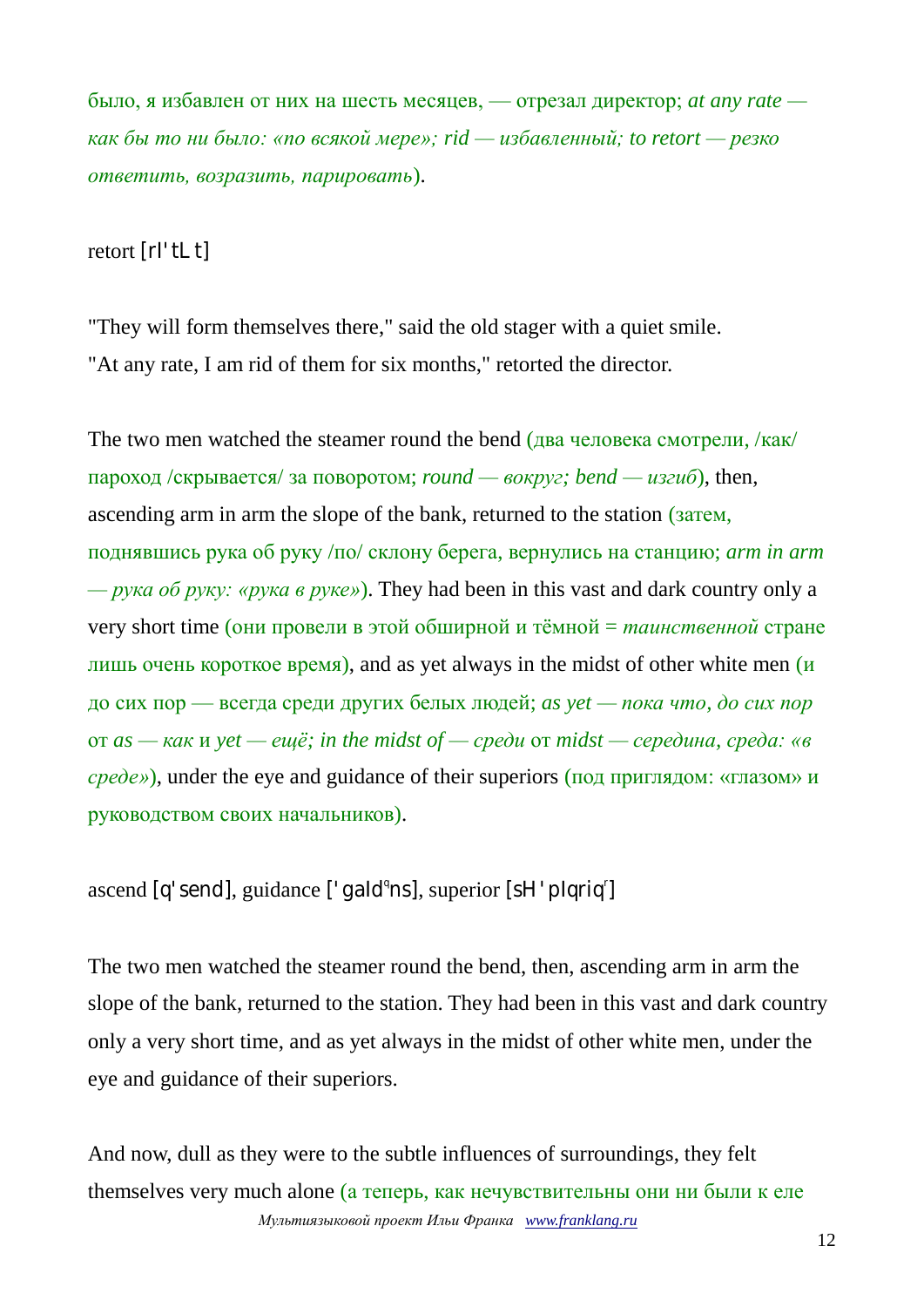было, я избавлен от них на шесть месяцев, — отрезал директор; *at any rate как бы то ни было: «по всякой мере»; rid — избавленный; to retort — резко ответить, возразить, парировать*).

retort [rI'tLt]

"They will form themselves there," said the old stager with a quiet smile. "At any rate, I am rid of them for six months," retorted the director.

The two men watched the steamer round the bend (два человека смотрели, /как/ пароход /скрывается/ за поворотом; *round — вокруг; bend — изгиб*), then, ascending arm in arm the slope of the bank, returned to the station (затем, поднявшись рука об руку /по/ склону берега, вернулись на станцию; *arm in arm — рука об руку: «рука в руке»*). They had been in this vast and dark country only a very short time (они провели в этой обширной и тёмной = *таинственной* стране лишь очень короткое время), and as yet always in the midst of other white men (и до сих пор — всегда среди других белых людей; *as yet — пока что, до сих пор* от *as — как* и *yet — ещё; in the midst of — среди* от *midst — середина, среда: «в среде»*), under the eye and guidance of their superiors (под приглядом: «глазом» и руководством своих начальников).

ascend [q'send], guidance ['gald<sup>q</sup>ns], superior [sH'plqriq<sup>r</sup>]

The two men watched the steamer round the bend, then, ascending arm in arm the slope of the bank, returned to the station. They had been in this vast and dark country only a very short time, and as yet always in the midst of other white men, under the eye and guidance of their superiors.

*Мультиязыковой проект Ильи Франка [www.franklang.ru](http://www.franklang.ru/)* And now, dull as they were to the subtle influences of surroundings, they felt themselves very much alone (а теперь, как нечувствительны они ни были к еле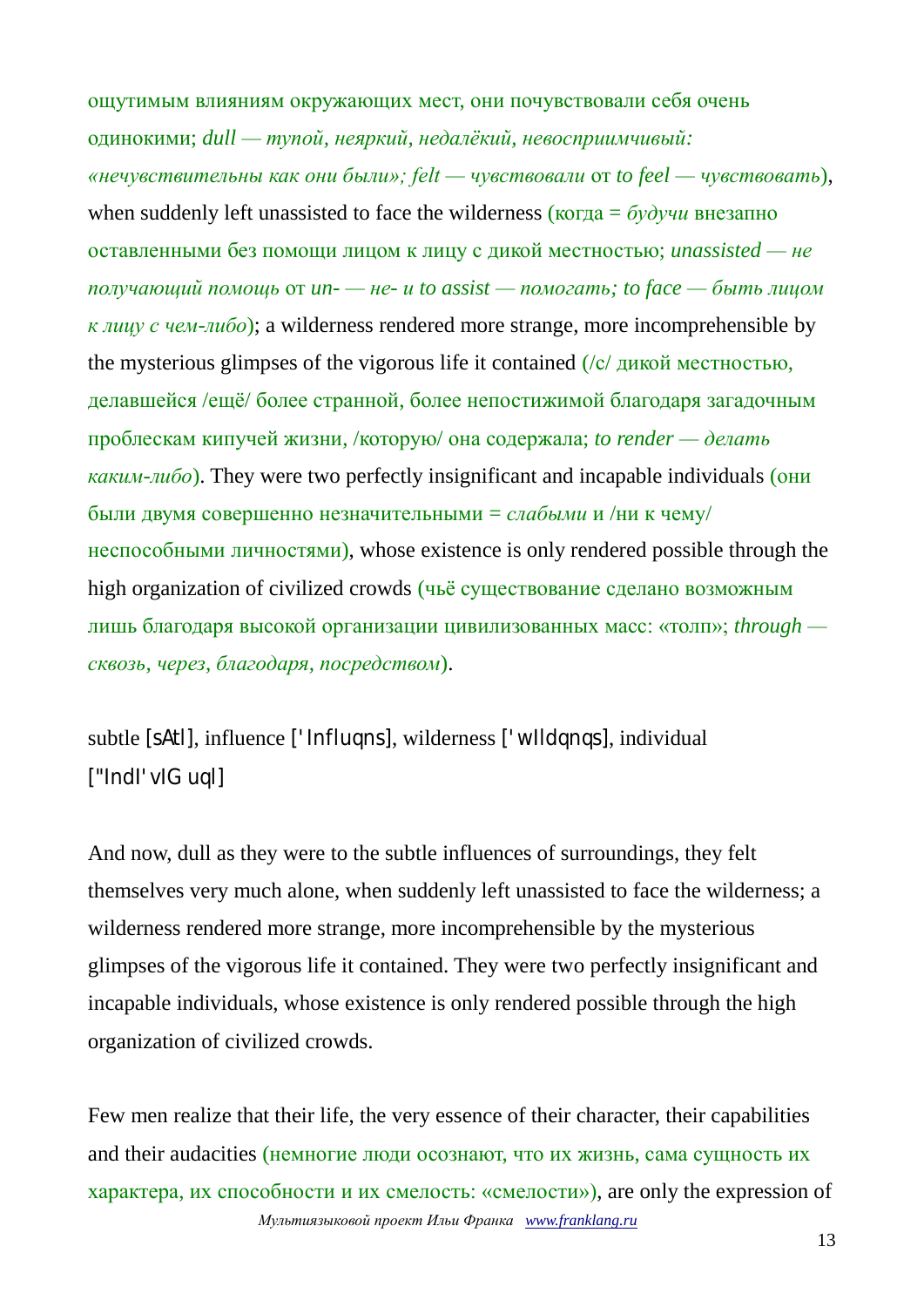ощутимым влияниям окружающих мест, они почувствовали себя очень одинокими; *dull — тупой, неяркий, недалёкий, невосприимчивый: «нечувствительны как они были»; felt — чувствовали* от *to feel — чувствовать*), when suddenly left unassisted to face the wilderness (когда = *будучи* внезапно оставленными без помощи лицом к лицу с дикой местностью; *unassisted — не получающий помощь* от *un- — не- и to assist — помогать; to face — быть лицом к лицу с чем-либо*); a wilderness rendered more strange, more incomprehensible by the mysterious glimpses of the vigorous life it contained  $\sqrt{\frac{c}{\pi}}$  дикой местностью, делавшейся /ещё/ более странной, более непостижимой благодаря загадочным проблескам кипучей жизни, /которую/ она содержала; *to render — делать каким-либо*). They were two perfectly insignificant and incapable individuals (они были двумя совершенно незначительными = *слабыми* и /ни к чему/ неспособными личностями), whose existence is only rendered possible through the high organization of civilized crowds (чьё существование сделано возможным лишь благодаря высокой организации цивилизованных масс: «толп»; *through сквозь, через, благодаря, посредством*).

subtle [sAtl], influence ['Influqns], wilderness ['wIldqnqs], individual ["IndI'vIGuql]

And now, dull as they were to the subtle influences of surroundings, they felt themselves very much alone, when suddenly left unassisted to face the wilderness; a wilderness rendered more strange, more incomprehensible by the mysterious glimpses of the vigorous life it contained. They were two perfectly insignificant and incapable individuals, whose existence is only rendered possible through the high organization of civilized crowds.

*Мультиязыковой проект Ильи Франка [www.franklang.ru](http://www.franklang.ru/)* Few men realize that their life, the very essence of their character, their capabilities and their audacities (немногие люди осознают, что их жизнь, сама сущность их характера, их способности и их смелость: «смелости»), are only the expression of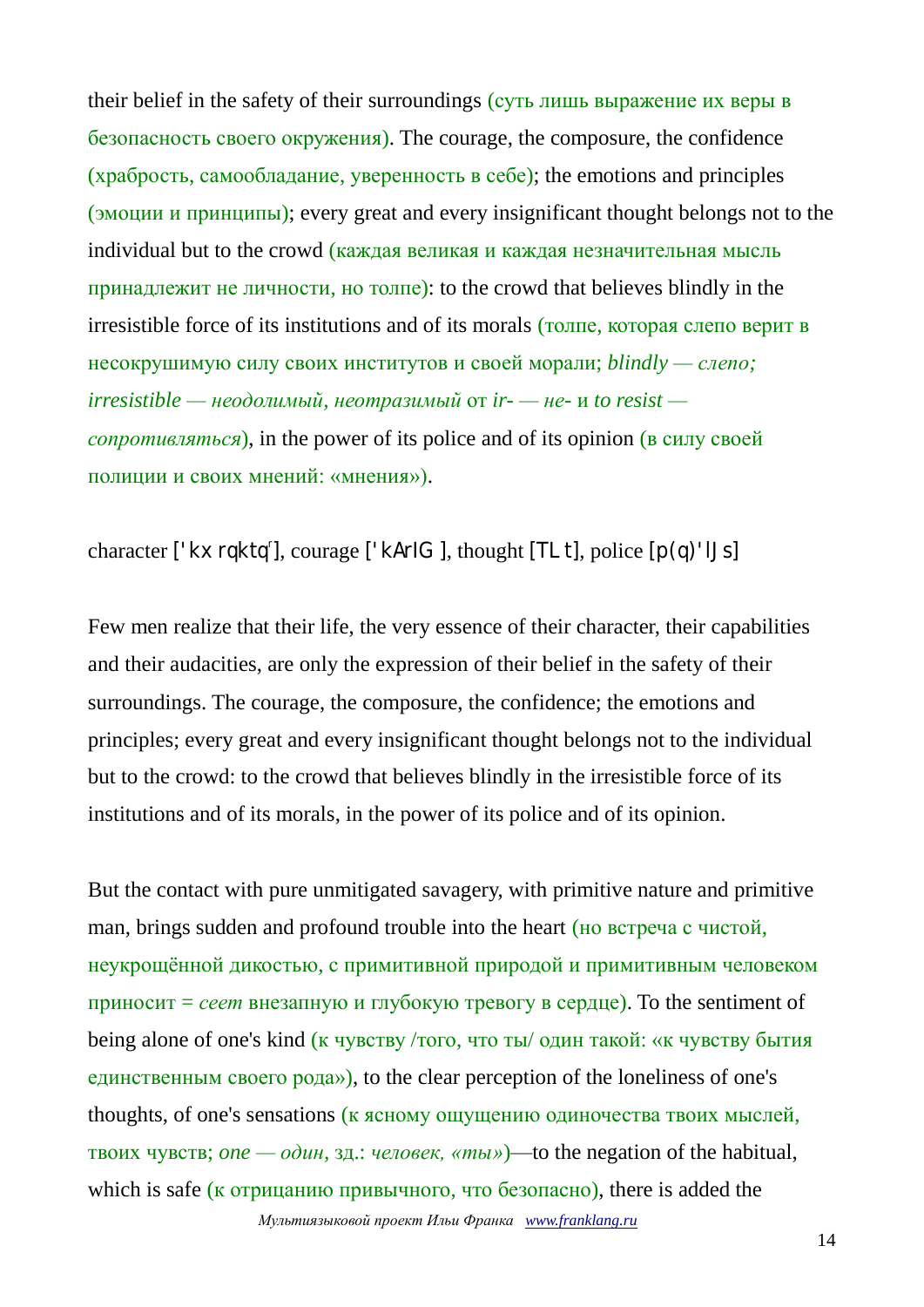their belief in the safety of their surroundings (суть лишь выражение их веры в безопасность своего окружения). The courage, the composure, the confidence (храбрость, самообладание, уверенность в себе); the emotions and principles (эмоции и принципы); every great and every insignificant thought belongs not to the individual but to the crowd (каждая великая и каждая незначительная мысль принадлежит не личности, но толпе): to the crowd that believes blindly in the irresistible force of its institutions and of its morals (толпе, которая слепо верит в несокрушимую силу своих институтов и своей морали; *blindly — слепо; irresistible — неодолимый, неотразимый* от *ir- — не-* и *to resist сопротивляться*), in the power of its police and of its opinion (в силу своей полиции и своих мнений: «мнения»).

character ['kxrqktq'], courage ['kArlG], thought [TLt], police [p(q)'lJs]

Few men realize that their life, the very essence of their character, their capabilities and their audacities, are only the expression of their belief in the safety of their surroundings. The courage, the composure, the confidence; the emotions and principles; every great and every insignificant thought belongs not to the individual but to the crowd: to the crowd that believes blindly in the irresistible force of its institutions and of its morals, in the power of its police and of its opinion.

But the contact with pure unmitigated savagery, with primitive nature and primitive man, brings sudden and profound trouble into the heart (но встреча с чистой, неукрощённой дикостью, с примитивной природой и примитивным человеком приносит = *сеет* внезапную и глубокую тревогу в сердце). To the sentiment of being alone of one's kind (к чувству /того, что ты/ один такой: «к чувству бытия единственным своего рода»), to the clear perception of the loneliness of one's thoughts, of one's sensations (к ясному ощущению одиночества твоих мыслей, твоих чувств; *one — один,* зд.: *человек, «ты»*)—to the negation of the habitual, which is safe (к отрицанию привычного, что безопасно), there is added the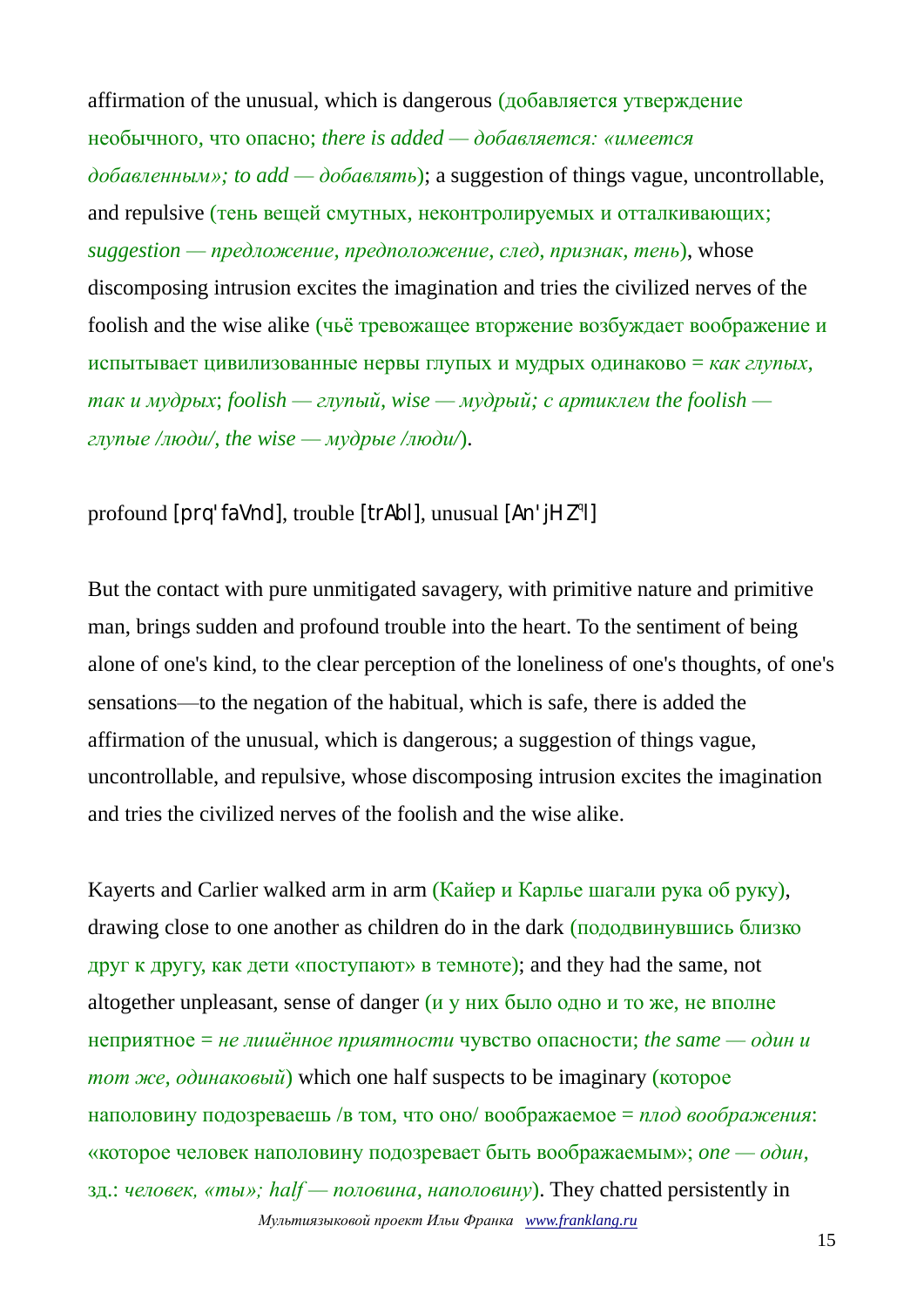affirmation of the unusual, which is dangerous (добавляется утверждение необычного, что опасно; *there is added — добавляется: «имеется добавленным»; to add — добавлять*); a suggestion of things vague, uncontrollable, and repulsive (тень вещей смутных, неконтролируемых и отталкивающих; *suggestion — предложение, предположение, след, признак, тень*), whose discomposing intrusion excites the imagination and tries the civilized nerves of the foolish and the wise alike (чьё тревожащее вторжение возбуждает воображение и испытывает цивилизованные нервы глупых и мудрых одинаково = *как глупых, так и мудрых*; *foolish — глупый, wise — мудрый; с артиклем the foolish глупые /люди/, the wise — мудрые /люди/*).

profound [prq'faVnd], trouble [trAbl], unusual [An'jHZ<sup>q</sup>l]

But the contact with pure unmitigated savagery, with primitive nature and primitive man, brings sudden and profound trouble into the heart. To the sentiment of being alone of one's kind, to the clear perception of the loneliness of one's thoughts, of one's sensations—to the negation of the habitual, which is safe, there is added the affirmation of the unusual, which is dangerous; a suggestion of things vague, uncontrollable, and repulsive, whose discomposing intrusion excites the imagination and tries the civilized nerves of the foolish and the wise alike.

*Мультиязыковой проект Ильи Франка [www.franklang.ru](http://www.franklang.ru/)* Kayerts and Carlier walked arm in arm (Кайер и Карлье шагали рука об руку), drawing close to one another as children do in the dark (пододвинувшись близко друг к другу, как дети «поступают» в темноте); and they had the same, not altogether unpleasant, sense of danger (и у них было одно и то же, не вполне неприятное = *не лишённое приятности* чувство опасности; *the same — один и тот же, одинаковый*) which one half suspects to be imaginary (которое наполовину подозреваешь /в том, что оно/ воображаемое = *плод воображения*: «которое человек наполовину подозревает быть воображаемым»; *one — один,*  зд.: *человек, «ты»; half — половина, наполовину*). They chatted persistently in